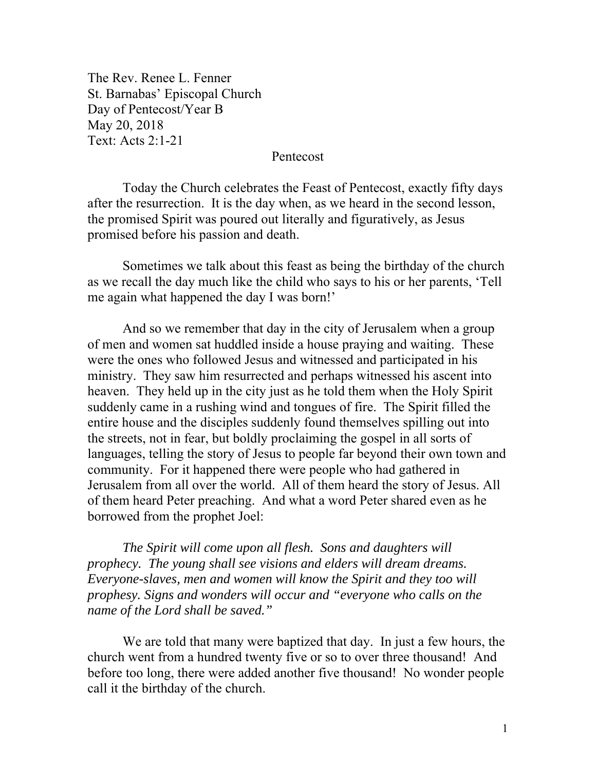The Rev. Renee L. Fenner St. Barnabas' Episcopal Church Day of Pentecost/Year B May 20, 2018 Text: Acts 2:1-21

## Pentecost

 Today the Church celebrates the Feast of Pentecost, exactly fifty days after the resurrection. It is the day when, as we heard in the second lesson, the promised Spirit was poured out literally and figuratively, as Jesus promised before his passion and death.

 Sometimes we talk about this feast as being the birthday of the church as we recall the day much like the child who says to his or her parents, 'Tell me again what happened the day I was born!'

And so we remember that day in the city of Jerusalem when a group of men and women sat huddled inside a house praying and waiting. These were the ones who followed Jesus and witnessed and participated in his ministry. They saw him resurrected and perhaps witnessed his ascent into heaven. They held up in the city just as he told them when the Holy Spirit suddenly came in a rushing wind and tongues of fire. The Spirit filled the entire house and the disciples suddenly found themselves spilling out into the streets, not in fear, but boldly proclaiming the gospel in all sorts of languages, telling the story of Jesus to people far beyond their own town and community. For it happened there were people who had gathered in Jerusalem from all over the world. All of them heard the story of Jesus. All of them heard Peter preaching. And what a word Peter shared even as he borrowed from the prophet Joel:

*The Spirit will come upon all flesh. Sons and daughters will prophecy. The young shall see visions and elders will dream dreams. Everyone-slaves, men and women will know the Spirit and they too will prophesy. Signs and wonders will occur and "everyone who calls on the name of the Lord shall be saved."* 

We are told that many were baptized that day. In just a few hours, the church went from a hundred twenty five or so to over three thousand! And before too long, there were added another five thousand! No wonder people call it the birthday of the church.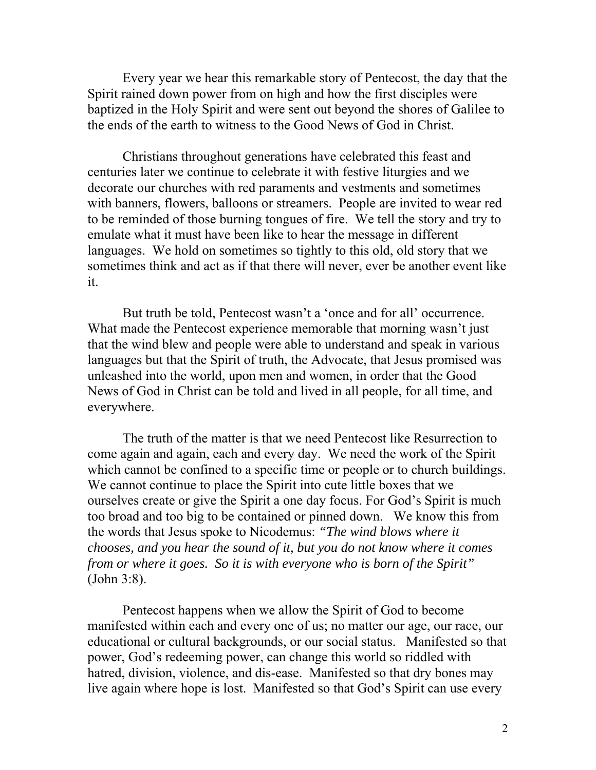Every year we hear this remarkable story of Pentecost, the day that the Spirit rained down power from on high and how the first disciples were baptized in the Holy Spirit and were sent out beyond the shores of Galilee to the ends of the earth to witness to the Good News of God in Christ.

Christians throughout generations have celebrated this feast and centuries later we continue to celebrate it with festive liturgies and we decorate our churches with red paraments and vestments and sometimes with banners, flowers, balloons or streamers. People are invited to wear red to be reminded of those burning tongues of fire. We tell the story and try to emulate what it must have been like to hear the message in different languages. We hold on sometimes so tightly to this old, old story that we sometimes think and act as if that there will never, ever be another event like it.

But truth be told, Pentecost wasn't a 'once and for all' occurrence. What made the Pentecost experience memorable that morning wasn't just that the wind blew and people were able to understand and speak in various languages but that the Spirit of truth, the Advocate, that Jesus promised was unleashed into the world, upon men and women, in order that the Good News of God in Christ can be told and lived in all people, for all time, and everywhere.

The truth of the matter is that we need Pentecost like Resurrection to come again and again, each and every day. We need the work of the Spirit which cannot be confined to a specific time or people or to church buildings. We cannot continue to place the Spirit into cute little boxes that we ourselves create or give the Spirit a one day focus. For God's Spirit is much too broad and too big to be contained or pinned down. We know this from the words that Jesus spoke to Nicodemus: *"The wind blows where it chooses, and you hear the sound of it, but you do not know where it comes from or where it goes. So it is with everyone who is born of the Spirit"* (John 3:8).

Pentecost happens when we allow the Spirit of God to become manifested within each and every one of us; no matter our age, our race, our educational or cultural backgrounds, or our social status. Manifested so that power, God's redeeming power, can change this world so riddled with hatred, division, violence, and dis-ease. Manifested so that dry bones may live again where hope is lost. Manifested so that God's Spirit can use every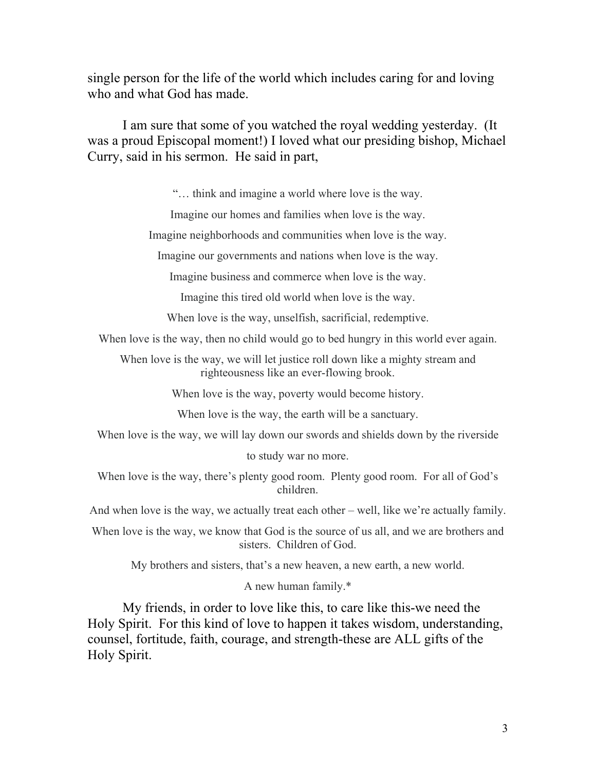single person for the life of the world which includes caring for and loving who and what God has made.

I am sure that some of you watched the royal wedding yesterday. (It was a proud Episcopal moment!) I loved what our presiding bishop, Michael Curry, said in his sermon. He said in part,

"… think and imagine a world where love is the way.

Imagine our homes and families when love is the way.

Imagine neighborhoods and communities when love is the way.

Imagine our governments and nations when love is the way.

Imagine business and commerce when love is the way.

Imagine this tired old world when love is the way.

When love is the way, unselfish, sacrificial, redemptive.

When love is the way, then no child would go to bed hungry in this world ever again.

When love is the way, we will let justice roll down like a mighty stream and righteousness like an ever-flowing brook.

When love is the way, poverty would become history.

When love is the way, the earth will be a sanctuary.

When love is the way, we will lay down our swords and shields down by the riverside

to study war no more.

When love is the way, there's plenty good room. Plenty good room. For all of God's children.

And when love is the way, we actually treat each other – well, like we're actually family.

When love is the way, we know that God is the source of us all, and we are brothers and sisters. Children of God.

My brothers and sisters, that's a new heaven, a new earth, a new world.

A new human family.\*

My friends, in order to love like this, to care like this-we need the Holy Spirit. For this kind of love to happen it takes wisdom, understanding, counsel, fortitude, faith, courage, and strength-these are ALL gifts of the Holy Spirit.